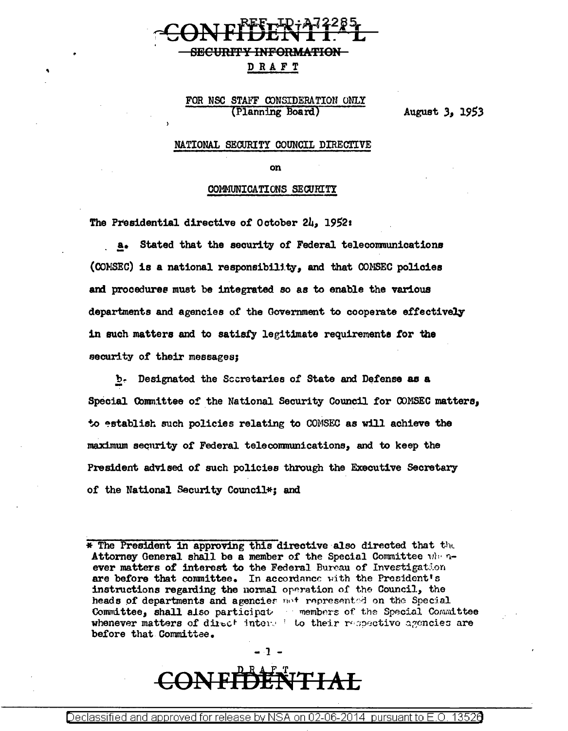## **SECURFI INFORMATION**

### DRAFT

### FOR NSC STAFF CONSIDERATION ONLY (Planning Board)

August 3, 1953

### NATIONAL SECURITY COUNCIL DIRECTIVE

on

#### COMMUNICATIONS SECURITY

The Presidential directive of October 24, 1952:

a. Stated that the security of Federal telecommunications (CONSEC) is a national responsibility, and that CONSEC policies and procedures must be integrated so as to enable the various departments and agencies of the Government to cooperate effectively in such matters and to satisfy legitimate requirements for the security of their messages:

b. Designated the Scoretaries of State and Defense as a Special Committee of the National Security Council for COMSEC matters, to establish such policies relating to COMSEC as will achieve the maximum security of Federal telecommunications, and to keep the President advised of such policies through the Executive Secretary of the National Security Council\*; and

<sup>\*</sup> The President in approving this directive also directed that the Attorney General shall be a member of the Special Committee when never matters of interest to the Federal Bureau of Investigation are before that committee. In accordance with the President's instructions regarding the normal operation of the Council, the heads of departments and agencies not represented on the Special Committee, shall also participat members of the Special Committee whenever matters of direct interest to their respective agencies are before that Committee.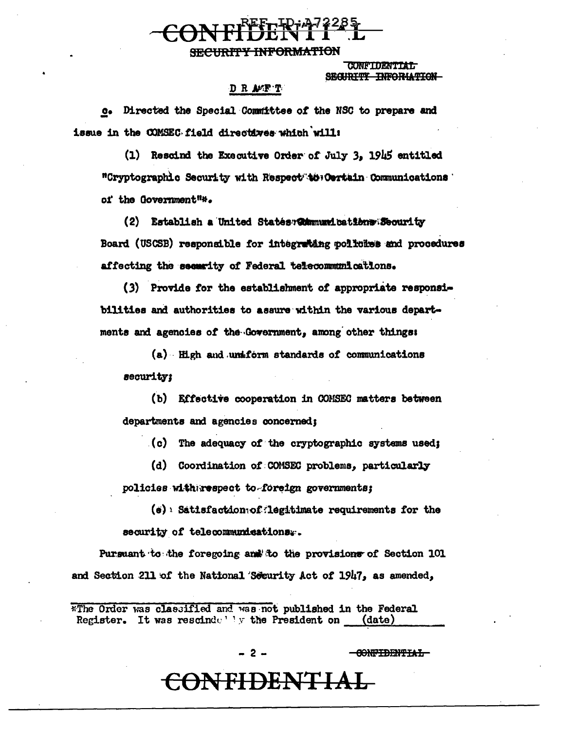### **SECURITY INFORMATION**

**CONFIDENTIAL** SECURITY INFORMATION

### DR AFF T

c. Directed the Special Committee of the NSC to prepare and issue in the COMSEC field directives which will:

(1) Rescind the Executive Order of July 3, 1945 entitled "Cryptographic Security with Respect to Certain Communications ' of the Government"\*.

(2) Establish a United States Wamunications Security Board (USCSB) responsible for integrating policies and procedures affecting the security of Federal telecommunications.

(3) Provide for the establishment of appropriate responsibilities and authorities to assure within the various departments and agencies of the Government, among other things:

(a) High and uniform standards of communications security:

(b) Effective cooperation in COMSEC matters between departments and agencies concerned;

(c) The adequacy of the cryptographic systems used;

(d) Coordination of COMSEC problems, particularly policies with respect to foreign governments;

 $(e)$  Satisfaction of legitimate requirements for the security of telecommunications..

Pursuant to the foregoing and to the provisions of Section 101 and Section 211 of the National Security Act of 1947, as amended,

\*The Order was classified and was not published in the Federal Register. It was rescinded by the President on  $(date)$ 

- 2 -

<del>EONFIDENTIAL</del>

<del>-CONFIDENTIAL-</del>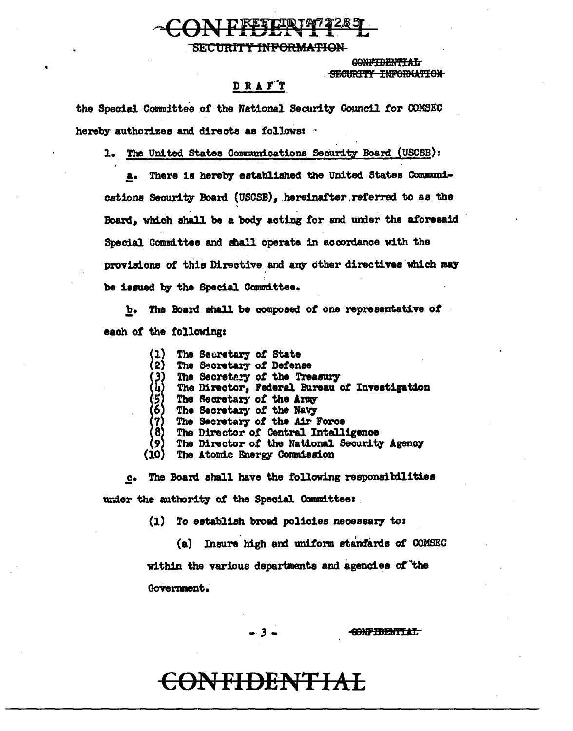SECURITY INFORMATION

CONFIDENTIAL SECURITY INFORMATION

### D R A F T

the Special Committee of the National Security Council for COMSEC hereby authorizes and directs as follows:

1. The United States Communications Security Board (USCSB):

There is hereby established the United States Communi**a.** cations Security Board (USCSB), hereinafter referred to as the Board, which shall be a body acting for and under the aforesaid Special Committee and shall operate in accordance with the provisions of this Directive and any other directives which may be issued by the Special Committee.

b. The Board shall be composed of one representative of each of the following:

> The Secretary of State (2) The Secretary of Defense (3) The Secretary of the Treasury The Director, Federal Bureau of Investigation The Secretary of the Army The Secretary of the Navy The Secretary of the Air Force The Director of Central Intelligence The Director of the National Security Agency  $(i)$ The Atomic Energy Commission

c. The Board shall have the following responsibilities under the authority of the Special Committee:

(1) To establish broad policies necessary to:

(a) Insure high and uniform standards of COMSEC within the various departments and agencies of the Government.

- 3 -

**CONFIDENTIAL** 

## <del>)NFIDENTIAL</del>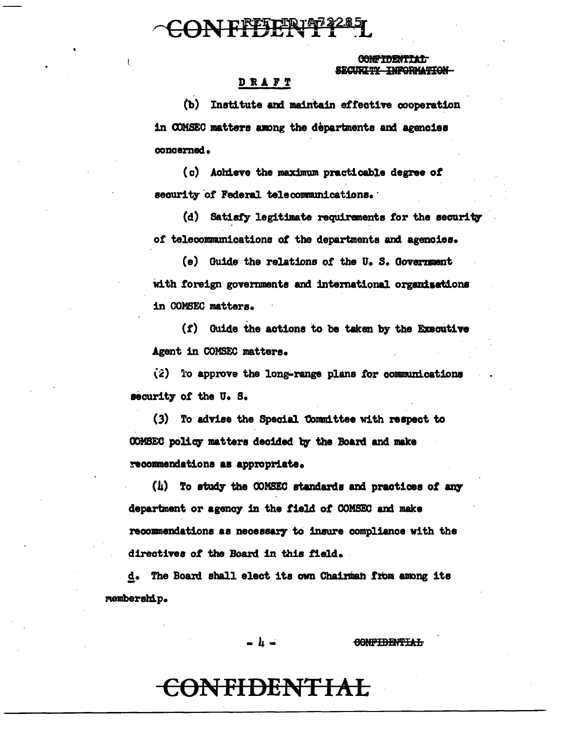## ON FFFFFFF<sup>4285</sup>

 $\mathbf{I}$ 

### CONFIDENTIAT STORT TV INFORMATION

### **DRAFT**

(b) Institute and maintain effective cooperation in COMSEC matters among the departments and agencies concerned.

(c) Achieve the maximum practicable degree of security of Federal telecommunications.

(d) Satisfy legitimate requirements for the security of telecommunications of the departments and agencies.

(e) Guide the relations of the U.S. Government with foreign governments and international organisations in COMSEC matters.

(f) Guide the actions to be taken by the Executive Agent in COMSEC matters.

 $(\hat{z})$  To approve the long-range plans for communications security of the U.S.

(3) To advise the Special Committee with respect to COMSEC policy matters decided by the Board and make recommendations as appropriate.

(h) To study the CONSEC standards and practices of any department or agency in the field of COMSEC and make recommendations as necessary to insure compliance with the directives of the Board in this field.

d. The Board shall elect its own Chairman from among its membershi.p.

- h -

**CONFIDENTIAL**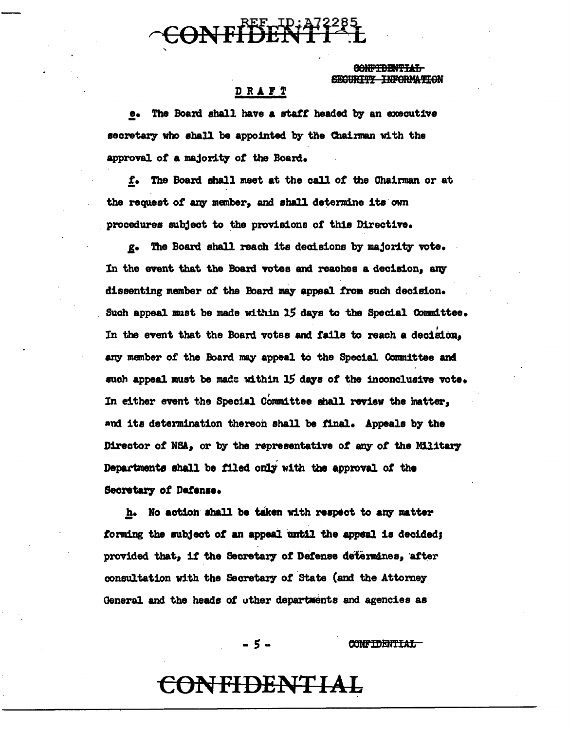# **ONFIDENTI**TL

<del>AONRTDENTTAT.</del> **TNIPORMA TT ON** 

### DRAFT

e. The Board shall have a staff headed by an executive secretary who shall be appointed by the Chairman with the approval of a majority of the Board.

f. The Board shall meet at the call of the Chairman or at the request of any member, and shall determine its own procedures subject to the provisions of this Directive.

g. The Board shall reach its decisions by majority vote. In the event that the Board votes and reaches a decision, any dissenting member of the Board may appeal from such decision. Such appeal must be made within 15 days to the Special Committee. In the event that the Board votes and fails to reach a decision. any member of the Board may appeal to the Special Committee and such appeal must be made within 15 days of the inconclusive vote. In either event the Special Committee shall review the matter, and its determination thereon shall be final. Appeals by the Director of NSA, or by the representative of any of the Military Departments shall be filed only with the approval of the Secretary of Dafense.

h. No action shall be taken with respect to any matter forming the subject of an appeal until the appeal is decided; provided that, if the Secretary of Defense determines, after consultation with the Secretary of State (and the Attorney General and the heads of other departments and agencies as

- 5 -

**CONFIDENTIAL**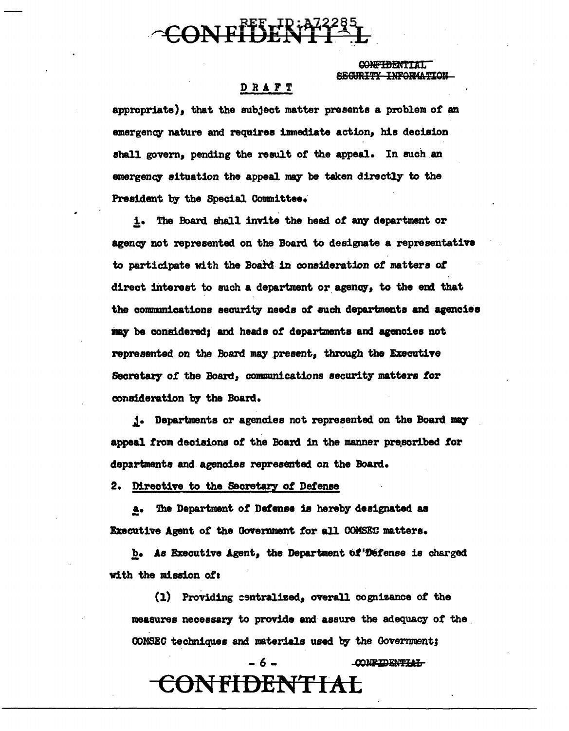

CONFIDENTIAL SECURITY INFORMATION

### DRAFT

appropriate), that the subject matter presents a problem of an emergency nature and requires immediate action, his decision shall govern, pending the result of the appeal. In such an emergency situation the appeal may be taken directly to the President by the Special Committee.

The Board shall invite the head of any department or  $1.$ agency not represented on the Board to designate a representative to participate with the Board in consideration of matters of direct interest to such a department or agency, to the end that the communications security needs of such departments and agencies may be considered; and heads of departments and agencies not represented on the Board may present, through the Executive Secretary of the Board, communications security matters for consideration by the Board.

j. Departments or agencies not represented on the Board may appeal from decisions of the Board in the manner prescribed for departments and agencies represented on the Board.

2. Directive to the Secretary of Defense

a. The Department of Defense is hereby designated as Executive Agent of the Government for all COMSEC matters.

b. As Executive Agent, the Department of Defense is charged with the mission of:

(1) Providing centralized, overall cognizance of the measures necessary to provide and assure the adequacy of the COMSEC techniques and materials used by the Government;

**CONFIDENTIAL** 

CONFIDENTIAL

 $-6 -$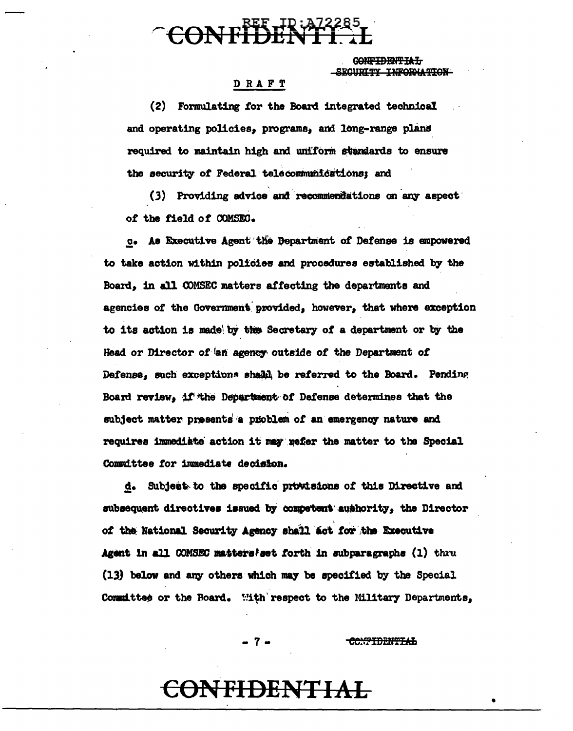# CONFIDENTI T.

G<del>onfidential</del> SECURITY INFORMATION

### DRAFT

(2) Formulating for the Board integrated technical and operating policies. programs, and long-range plans required to maintain high and uniform standards to ensure the security of Federal telecommunications; and

(3) Providing advice and recommendations on any aspect of the field of COMSEC.

c. As Executive Agent the Department of Defense is empowered to take action within policies and procedures established by the Board. in all COMSEC matters affecting the departments and agencies of the Government provided, however, that where exception to its action is made by the Secretary of a department or by the Head or Director of an agency outside of the Department of Defense, such exceptions shall be referred to the Board. Pending Board review, if the Department of Defense determines that the subject matter presents a problem of an emergency nature and requires immediate action it may refer the matter to the Special Committee for immediate decision.

d. Subject to the specific provisions of this Directive and subsequent directives issued by competent authority, the Director of the National Security Agency shall act for the Executive Agent in all COMSEC matters as forth in subparagraphs (1) thru (13) below and any others which may be specified by the Special Committee or the Board. With respect to the Military Departments,

 $-7 -$ 

<del>CONTIDENTIAL</del>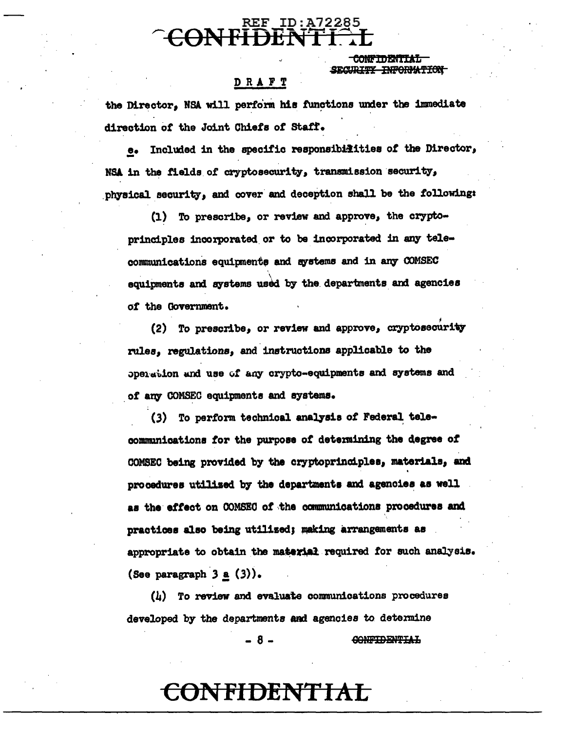# **REF ID:A7228**

**CONFIDENTIAL** SECURITY INFORMATION

### DRAFT

the Director. NSA will perform his functions under the immediate direction of the Joint Chiefs of Staff.

Included in the specific responsibilities of the Director,  $\bullet$ NSA in the fields of cryptosecurity, transmission security, physical security, and cover and deception shall be the following:

 $(1)$  To prescribe, or review and approve, the cryptoprinciples incorporated or to be incorporated in any telecommunications equipments and systems and in any COMSEC equipments and systems used by the departments and agencies of the Government.

(2) To prescribe, or review and approve, cryptosecurity rules, regulations, and instructions applicable to the operation and use of any crypto-equipments and systems and of any COMSEC equipments and systems.

(3) To perform technical analysis of Federal telecommunications for the purpose of determining the degree of COMSEC being provided by the cryptoprinciples, materials, and procedures utilized by the departments and agencies as well as the effect on COMSEC of the communications procedures and practices also being utilised; making arrangements as appropriate to obtain the material required for such analysis. (See paragraph  $3 \underline{a}$  (3)).

(4) To review and evaluate communications procedures developed by the departments and agencies to determine

- 8 -

CONFIDENTIAL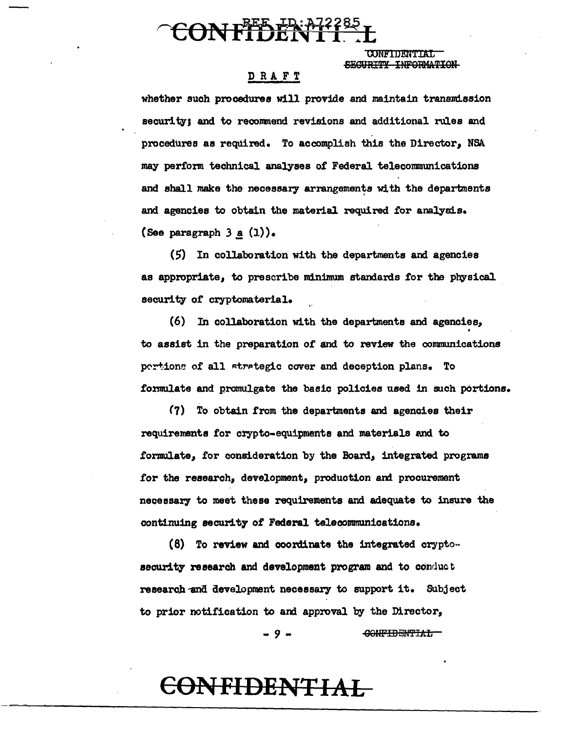

**CONFIDENTIAL** SEGURTTY INFORMATION

### DRAFT

whether such procedures will provide and maintain transmission security; and to recommend revisions and additional rules and procedures as required. To accomplish this the Director, NSA may perfom technical analyses of Federal telecommunications and shall make the necessary arrangements with the departments and agencies to obtain the material required for analysis. (See paragraph  $3 \underline{a} (1)$ ).

 $(5)$  In collaboration with the departments and agencies as appropriate, to prescribe minimum standards for the physical security of cryptomaterial.

(6) In collaboration with the departments and agencies, . to assist in the preparation of and to review the communications pertions of all strategic cover and deception plans. To formulate and promulgate the basic policies used in such portions.

(7) To obtain from the departments and agencies their requirements for crypto-equipments and materials and to formulate, for consideration by the Board, integrated programs for the research, development, production and procurement necessary to meet these requirements and adequate to insure the continuing security of Federal telecommunications.

(8) To review and coordinate the integrated cryptosecurity research and development program and to conduct research and development necessary to support it. Subject to prior notification to and approval by the Director, - 9 - <del>CONFIDENTIAL</del>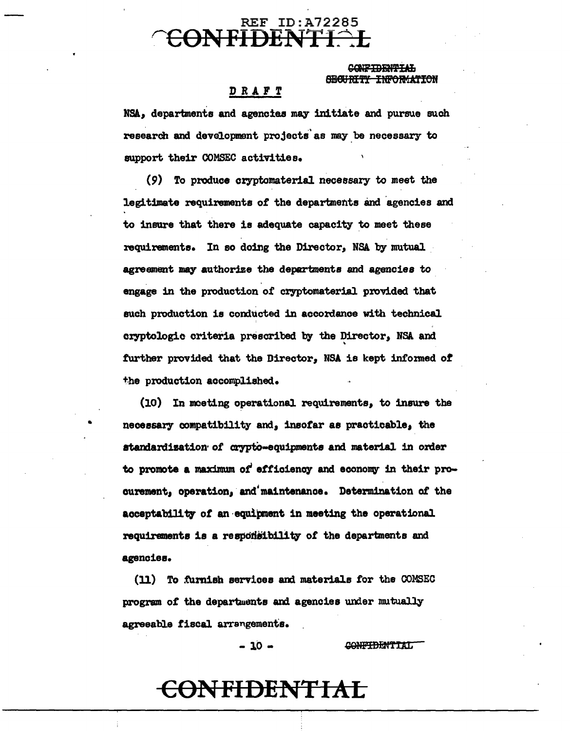### REF ID:A72285 rcONFIDENTI~L

### SUCCEPTION CONFIDENTIAL **ENFORMATION**

### DRAFT

NSA, departments and agencies may initiate and pursue such research and development projects'as may.be necessary to support their COMSEC activities.

(9) To produce cryptomaterial necessary to meet the legitimate requirements of the departments and agencies and to insure that there is adequate capacity to meet these requirements. In so doing the Director, NSA by mutual agreement may authorize the departments and agencies to engage in the production of cryptomaterial provided that such production is conducted in accordance with technical cryptologic criteria prescribed by the Director, NSA and further provided that the Director, NSA is kept informed of the production accomplished.

(10) In meeting operational requirements, to insure the necessary compatibility and, insofar as practicable, the standardization of crypto-equipments and material in order to promote a maximum of efficiency and economy in their procurement, operation, andjmaintenanoe. Determination *ot* the acceptability of an equipment in meeting the operational requirements is a responsibility of the departments and agencies.

(11) To furnish services and materials for the COMSEC program of the departments and agencies under mutually agreeable fiscal arrangements.

 $-10 -$ 

•

CONFIDENTIAL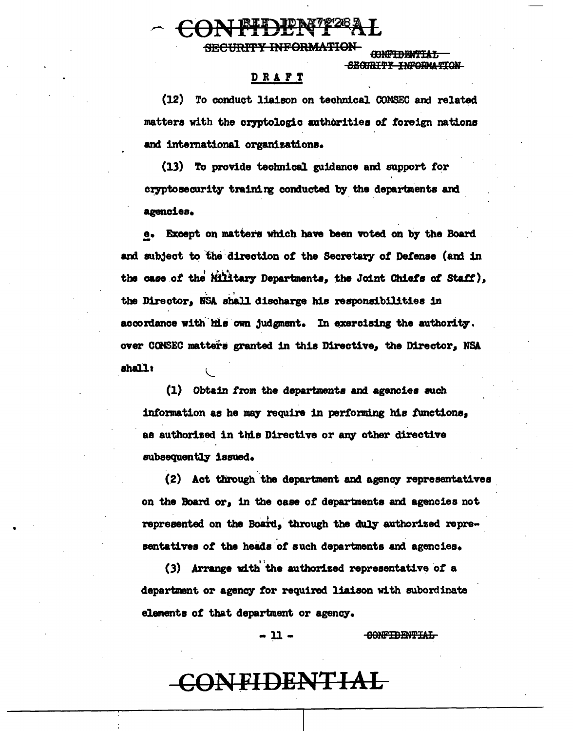## RIT IDRATZZE

**SECURITY INFORMATION** 

**CONFIDENTIAL** SEGIRTTY INFORMATION

### DRAFT

(12) To conduct liaison on technical COMSEC and related matters with the cryptologic authorities of foreign nations and international organizations.

(13) To provide technical guidance and support for cryptosecurity training conducted by the departments and agencies.

e. Except on matters which have been voted on by the Board and subject to the direction of the Secretary of Defense (and in the case of the Military Departments, the Joint Chiefs of Staff), the Director, NSA shall discharge his responsibilities in accordance with his own judgment. In exercising the authority. over COMSEC matters granted in this Directive, the Director, NSA shall:

(1) Obtain from the departments and agencies such information as he may require in performing his functions, as authorized in this Directive or any other directive subsequently issued.

(2) Act through the department and agency representatives on the Board or. in the case of departments and agencies not represented on the Board, through the duly authorized representatives of the heads of such departments and agencies.

(3) Arrange with the authorized representative of a department or agency for required liaison with subordinate elements of that department or agency.

> - 11 -**CONFIDENTIAL**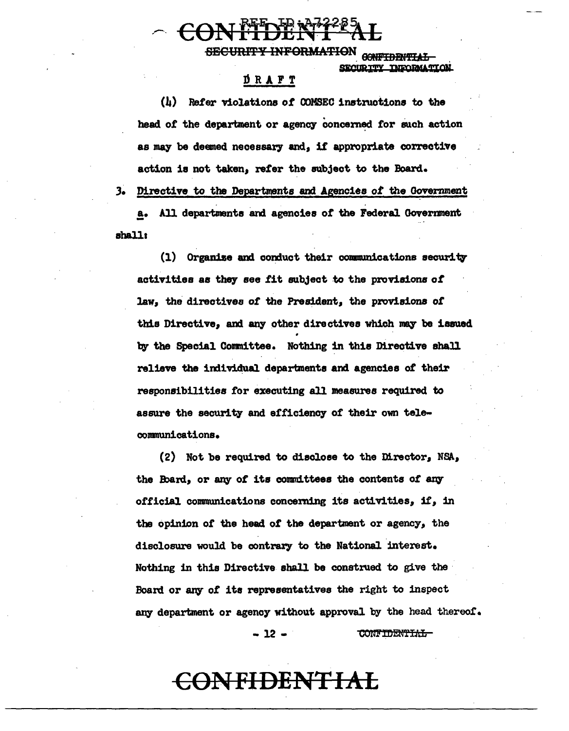$\sim \text{COMHDENT-AL}$ 

SECURITY INFORMATION GONFIDENTIAL **CURTTY INKORMATION** 

### DRAFT

(b) Refer violations of OOMSEC instzuotions to the head of the department or agency concerned for such action as may be deemed necessary and, if appropriate corrective action is not taken, refer the subject to the Board. 3. Directive to the Departments and Agencies *of* the Government .!• All departments am agencies *ot* the Federal Ooverment ahallt

 $(1)$  Organize and conduct their communications security activities as they see fit subject to the provisions of law, the directives *ot* the President, the provisions *ot*  this Directive, and any other directives which may be issued by the Special Committee. Nothing in this Directive shall relieve the individual departments and agencies of their responsibilities for executing all measures required to assure the security and efficiency of their own teleconmunications.

(2) Not be required to disclose to the Director, NSA, the Board, or any of its committees the contents of any official communications concerning its activities, it, in the opinion *ot* the head of the department or agency, the disclosure would be contrary to the National interest. Nothing in this Directive shall be construed to give the· Board or any of its representatives the right to inspect any department or agency without approval by the head thereof.

> $-12 -$ **CONFIDENTIAL**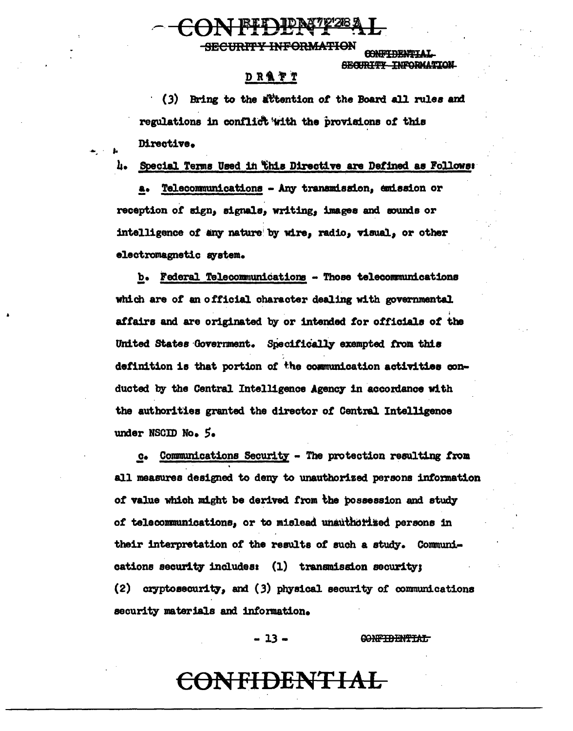**SECURITY INFORMATION** 

**CONTACT DENTITY A** SECURITY INFORMATION

### **DRATT**

(3) Bring to the attention of the Board all rules and regulations in conflict with the provisions of this Directive.

Special Terms Used in this Directive are Defined as Follows: h.

Telecommunications - Any transmission, emission or reception of sign, signals, writing, images and sounds or intelligence of any nature by wire, radio, visual, or other electromagnetic system.

b. Federal Telecommunications - Those telecommunications which are of an official character dealing with governmental affairs and are originated by or intended for officials of the United States Government. Specifically exempted from this definition is that portion of the communication activities conducted by the Central Intelligence Agency in accordance with the authorities granted the director of Central Intelligence under NSCID No. 5.

Communications Security - The protection resulting from  $c_{\bullet}$ all measures designed to deny to unauthorized persons information of value which might be derived from the possession and study of telecommunications, or to mislead unauthorized persons in their interpretation of the results of such a study. Communications security includes: (1) transmission security; (2) cryptosecurity, and (3) physical security of communications security materials and information.

> $-13-$ <del>CONFIDENTIAL</del>